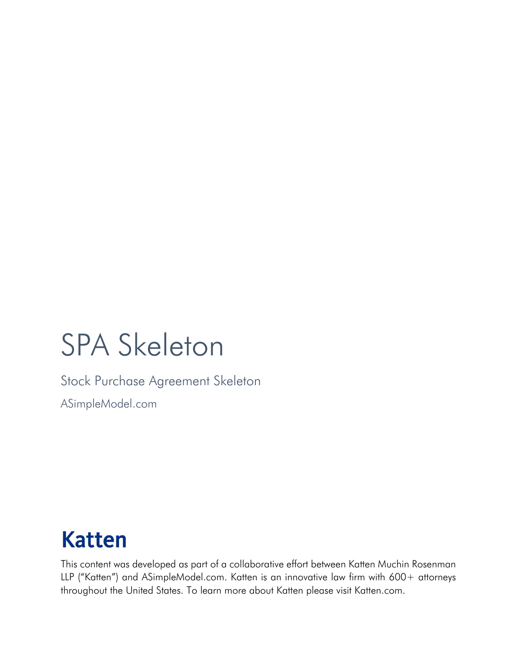# SPA Skeleton

Stock Purchase Agreement Skeleton

ASimpleModel.com

# **Katten**

This content was developed as part of a collaborative effort between Katten Muchin Rosenman LLP ("Katten") and ASimpleModel.com. Katten is an innovative law firm with 600+ attorneys throughout the United States. To learn more about Katten please visit Katten.com.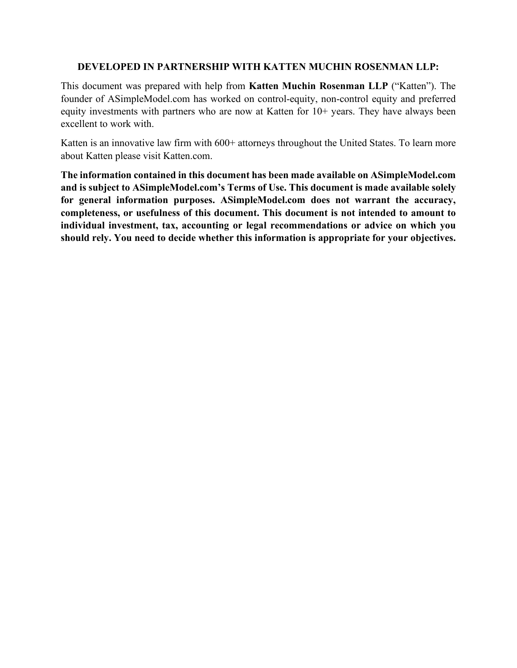#### **DEVELOPED IN PARTNERSHIP WITH KATTEN MUCHIN ROSENMAN LLP:**

This document was prepared with help from **Katten Muchin Rosenman LLP** ("Katten"). The founder of ASimpleModel.com has worked on control-equity, non-control equity and preferred equity investments with partners who are now at Katten for 10+ years. They have always been excellent to work with.

Katten is an innovative law firm with 600+ attorneys throughout the United States. To learn more about Katten please visit Katten.com.

**The information contained in this document has been made available on ASimpleModel.com and is subject to ASimpleModel.com's Terms of Use. This document is made available solely for general information purposes. ASimpleModel.com does not warrant the accuracy, completeness, or usefulness of this document. This document is not intended to amount to individual investment, tax, accounting or legal recommendations or advice on which you should rely. You need to decide whether this information is appropriate for your objectives.**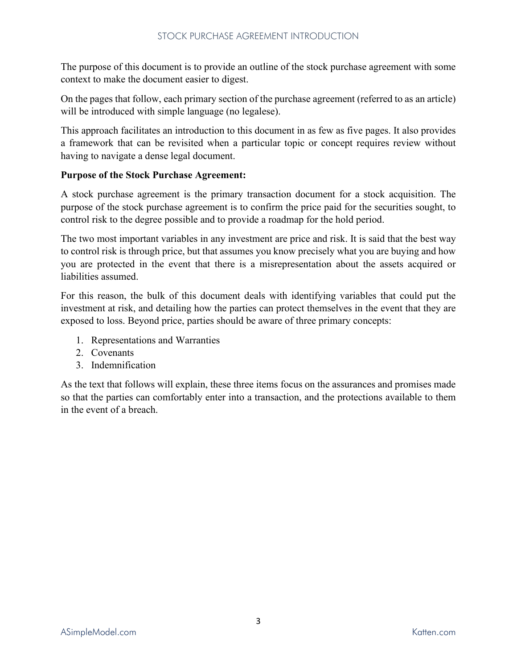The purpose of this document is to provide an outline of the stock purchase agreement with some context to make the document easier to digest.

On the pages that follow, each primary section of the purchase agreement (referred to as an article) will be introduced with simple language (no legalese).

This approach facilitates an introduction to this document in as few as five pages. It also provides a framework that can be revisited when a particular topic or concept requires review without having to navigate a dense legal document.

#### **Purpose of the Stock Purchase Agreement:**

A stock purchase agreement is the primary transaction document for a stock acquisition. The purpose of the stock purchase agreement is to confirm the price paid for the securities sought, to control risk to the degree possible and to provide a roadmap for the hold period.

The two most important variables in any investment are price and risk. It is said that the best way to control risk is through price, but that assumes you know precisely what you are buying and how you are protected in the event that there is a misrepresentation about the assets acquired or liabilities assumed.

For this reason, the bulk of this document deals with identifying variables that could put the investment at risk, and detailing how the parties can protect themselves in the event that they are exposed to loss. Beyond price, parties should be aware of three primary concepts:

- 1. Representations and Warranties
- 2. Covenants
- 3. Indemnification

As the text that follows will explain, these three items focus on the assurances and promises made so that the parties can comfortably enter into a transaction, and the protections available to them in the event of a breach.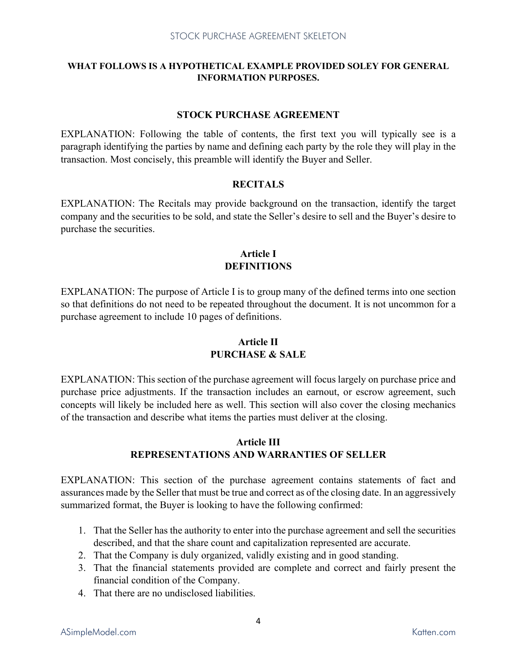#### **WHAT FOLLOWS IS A HYPOTHETICAL EXAMPLE PROVIDED SOLEY FOR GENERAL INFORMATION PURPOSES.**

#### **STOCK PURCHASE AGREEMENT**

EXPLANATION: Following the table of contents, the first text you will typically see is a paragraph identifying the parties by name and defining each party by the role they will play in the transaction. Most concisely, this preamble will identify the Buyer and Seller.

#### **RECITALS**

EXPLANATION: The Recitals may provide background on the transaction, identify the target company and the securities to be sold, and state the Seller's desire to sell and the Buyer's desire to purchase the securities.

#### **Article I DEFINITIONS**

EXPLANATION: The purpose of Article I is to group many of the defined terms into one section so that definitions do not need to be repeated throughout the document. It is not uncommon for a purchase agreement to include 10 pages of definitions.

# **Article II PURCHASE & SALE**

EXPLANATION: This section of the purchase agreement will focus largely on purchase price and purchase price adjustments. If the transaction includes an earnout, or escrow agreement, such concepts will likely be included here as well. This section will also cover the closing mechanics of the transaction and describe what items the parties must deliver at the closing.

# **Article III REPRESENTATIONS AND WARRANTIES OF SELLER**

EXPLANATION: This section of the purchase agreement contains statements of fact and assurances made by the Seller that must be true and correct as of the closing date. In an aggressively summarized format, the Buyer is looking to have the following confirmed:

- 1. That the Seller has the authority to enter into the purchase agreement and sell the securities described, and that the share count and capitalization represented are accurate.
- 2. That the Company is duly organized, validly existing and in good standing.
- 3. That the financial statements provided are complete and correct and fairly present the financial condition of the Company.
- 4. That there are no undisclosed liabilities.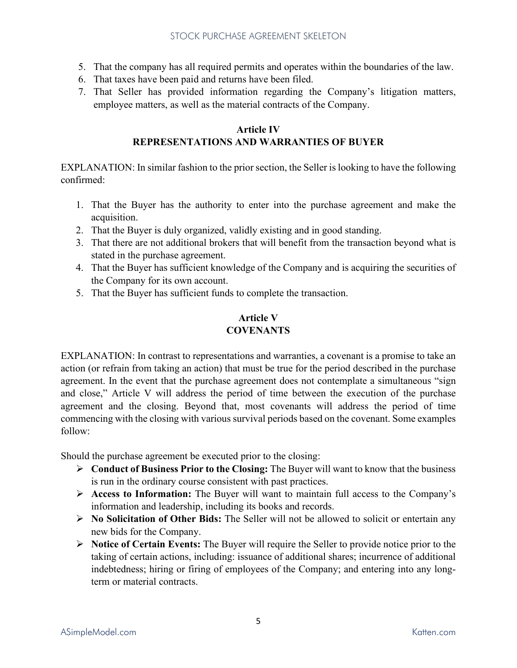- 5. That the company has all required permits and operates within the boundaries of the law.
- 6. That taxes have been paid and returns have been filed.
- 7. That Seller has provided information regarding the Company's litigation matters, employee matters, as well as the material contracts of the Company.

#### **Article IV REPRESENTATIONS AND WARRANTIES OF BUYER**

EXPLANATION: In similar fashion to the prior section, the Seller is looking to have the following confirmed:

- 1. That the Buyer has the authority to enter into the purchase agreement and make the acquisition.
- 2. That the Buyer is duly organized, validly existing and in good standing.
- 3. That there are not additional brokers that will benefit from the transaction beyond what is stated in the purchase agreement.
- 4. That the Buyer has sufficient knowledge of the Company and is acquiring the securities of the Company for its own account.
- 5. That the Buyer has sufficient funds to complete the transaction.

#### **Article V COVENANTS**

EXPLANATION: In contrast to representations and warranties, a covenant is a promise to take an action (or refrain from taking an action) that must be true for the period described in the purchase agreement. In the event that the purchase agreement does not contemplate a simultaneous "sign and close," Article V will address the period of time between the execution of the purchase agreement and the closing. Beyond that, most covenants will address the period of time commencing with the closing with various survival periods based on the covenant. Some examples follow:

Should the purchase agreement be executed prior to the closing:

- **Conduct of Business Prior to the Closing:** The Buyer will want to know that the business is run in the ordinary course consistent with past practices.
- **Access to Information:** The Buyer will want to maintain full access to the Company's information and leadership, including its books and records.
- **No Solicitation of Other Bids:** The Seller will not be allowed to solicit or entertain any new bids for the Company.
- **Notice of Certain Events:** The Buyer will require the Seller to provide notice prior to the taking of certain actions, including: issuance of additional shares; incurrence of additional indebtedness; hiring or firing of employees of the Company; and entering into any longterm or material contracts.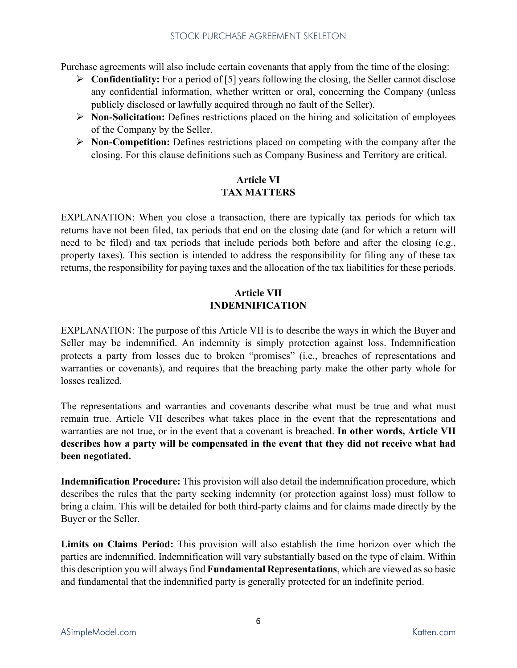Purchase agreements will also include certain covenants that apply from the time of the closing:

- **Confidentiality:** For a period of [5] years following the closing, the Seller cannot disclose any confidential information, whether written or oral, concerning the Company (unless publicly disclosed or lawfully acquired through no fault of the Seller).
- **Non-Solicitation:** Defines restrictions placed on the hiring and solicitation of employees of the Company by the Seller.
- **Non-Competition:** Defines restrictions placed on competing with the company after the closing. For this clause definitions such as Company Business and Territory are critical.

# **Article VI TAX MATTERS**

EXPLANATION: When you close a transaction, there are typically tax periods for which tax returns have not been filed, tax periods that end on the closing date (and for which a return will need to be filed) and tax periods that include periods both before and after the closing (e.g., property taxes). This section is intended to address the responsibility for filing any of these tax returns, the responsibility for paying taxes and the allocation of the tax liabilities for these periods.

# **Article VII INDEMNIFICATION**

EXPLANATION: The purpose of this Article VII is to describe the ways in which the Buyer and Seller may be indemnified. An indemnity is simply protection against loss. Indemnification protects a party from losses due to broken "promises" (i.e., breaches of representations and warranties or covenants), and requires that the breaching party make the other party whole for losses realized.

The representations and warranties and covenants describe what must be true and what must remain true. Article VII describes what takes place in the event that the representations and warranties are not true, or in the event that a covenant is breached. **In other words, Article VII describes how a party will be compensated in the event that they did not receive what had been negotiated.**

**Indemnification Procedure:** This provision will also detail the indemnification procedure, which describes the rules that the party seeking indemnity (or protection against loss) must follow to bring a claim. This will be detailed for both third-party claims and for claims made directly by the Buyer or the Seller.

**Limits on Claims Period:** This provision will also establish the time horizon over which the parties are indemnified. Indemnification will vary substantially based on the type of claim. Within this description you will always find **Fundamental Representations**, which are viewed as so basic and fundamental that the indemnified party is generally protected for an indefinite period.